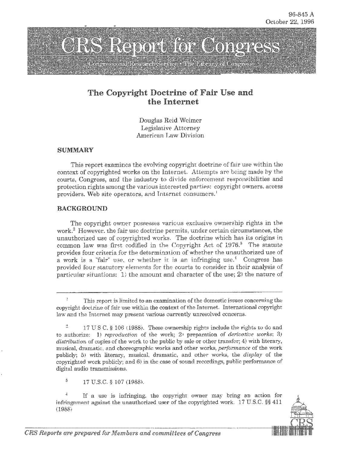# **CIRS Report for Congress**

ial Reverien Seevice of The Universy of C

# The Copyright Doctrine of Fair Use and the Internet

Douglas Reid Weimer Legislative Attorney American Law Division

### **SUMMARY**

This report examines the evolving copyright doctrine of fair use within the context of copyrighted works on the Internet. Attempts are being made by the courts, Congress, and the industry to divide enforcement responsibilities and protection rights among the various interested parties: copyright owners, access providers. Web site operators, and Internet consumers.<sup>1</sup>

## **BACKGROUND**

The copyright owner possesses various exclusive ownership rights in the work.<sup>2</sup> However, the fair use doctrine permits, under certain circumstances, the unauthorized use of copyrighted works. The doctrine which has its origins in common law was first codified in the Copyright Act of 1976.<sup>3</sup> The statute provides four criteria for the determination of whether the unauthorized use of a work is a "fair" use, or whether it is an infringing use.<sup>4</sup> Congress has provided four statutory elements for the courts to consider in their analysis of particular situations: 1) the amount and character of the use; 2) the nature of

 $\mathbb{S}% _{t}\left| \mathcal{F}_{t}\right| ^{2}\left| \mathcal{F}_{t}\right| ^{2}$ 17 U.S.C. § 107 (1988).

If a use is infringing, the copyright owner may bring an action for infringement against the unauthorized user of the copyrighted work. 17 U.S.C. §§ 411  $(1988)$ 



This report is limited to an examination of the domestic issues concerning the copyright doctrine of fair use within the context of the Internet. International copyright law and the Internet may present various currently unresolved concerns.

 $\overline{\mathbf{u}}$ 17 U S C, § 106 (1988). These ownership rights include the rights to do and to authorize: 1) reproduction of the work;  $2<sup>i</sup>$  preparation of derivative works; 3) distribution of copies of the work to the public by sale or other transfer; 4) with literary, musical, dramatic, and choreographic works and other works, performance of the work publicly; 5) with literary, musical, dramatic, and other works, the *display* of the copyrighted work publicly; and 6) in the case of sound recordings, public performance of digital audio transmissions.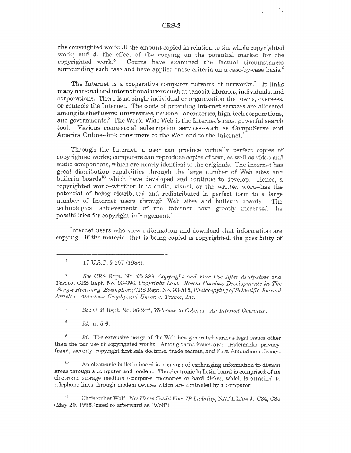the copyrighted work; 3) the amount copied in relation to the whole copyrighted work; and 4) the effect of the copying on the potential market for the copyrighted work.<sup>5</sup> Courts have examined the factual circumstances surrounding each case and have applied these criteria on a case-by-case basis.<sup>6</sup>

The Internet is a cooperative computer network of networks.<sup>7</sup> It links many national and international users such as schools. libraries, individuals, and corporations. There is no single individual or organization that owns, oversees. or controls the Internet. The costs of providing Internet services are allocated among its chief users: universities, national laboratories, high-tech corporations, and governments.<sup>8</sup> The World Wide Web is the Internet's most powerful search tool. Various commercial subscription services--such as CompuServe and America Online-link consumers to the Web and to the Internet.<sup>4</sup>

Through the Internet, a user can produce virtually perfect copies of convrighted works; computers can reproduce copies of text, as well as video and audio components, which are nearly identical to the originals. The Internet has great distribution capabilities through the large number of Web sites and bulletin boards<sup>10</sup> which have developed and continue to develop. Hence, a copyrighted work--whether it is audio, visual, or the written word-has the potential of being distributed and redistributed in perfect form to a large number of Internet users through Web sites and bulletin boards. The technological achievements of the Internet have greatly increased the possibilities for copyright infringement.<sup>11</sup>

Internet users who view information and download that information are copying. If the material that is being copied is copyrighted, the possibility of

 $\overline{\Omega}$ 17 U.S.C. § 107 (1988).

6 See CRS Rept. No. 95-888, Copyright and Fair Use After Acuff-Rose and Texaco; CRS Rept. No. 93-396. Copyright Law: Recent Caselaw Developments in The "Single Recewing" Exemption; CRS Rept. No. 93-515, Photocopying of Scientific Journal Articles: American Geophysical Union v. Texaco, Inc.

 $\overline{\mathcal{C}}_i$ Scc CRS Rept. No. 96-242, Welcome to Cyberia: An Internet Overview.

s. Id., at 5-6.

 $Id$ . The extensive usage of the Web has generated various legal issues other than the fair use of copyrighted works. Among these issues are: trademarks, privacy. fraud, security, copyright first sale doctrine, trade secrets, and First Amendment issues.

 $\bar{1}\bar{0}$ An electronic bulletin board is a means of exchanging information to distant areas through a computer and modem. The electronic bulletin board is comprised of an electronic storage medium (computer memories or hard disks), which is attached to telephone lines through modem devices which are controlled by a computer.

Christopher Wolf, Net Users Could Face IP Liability, NAT'L LAW J. C34, C35 (May 20, 1996)(cited to afterward as "Wolf").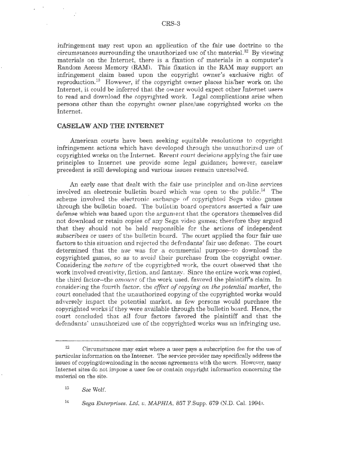infingement may rest upon an application of the fair use doctrine to the circumstances surrounding the unauthorized use of the material.<sup>12</sup> By viewing materials on the Internet, there is a fixation of materials in a computer's Random Access Memory **(RAM**). This fixation in the RAM may support an infringement claim based upon the copyright owner's exclusive right of reproduction.<sup>13</sup> However, if the copyright owner places his/her work on the Internet, it could be inferred that the owner would expect other Internet users to read and download the copyrighted work. Legal complications arise when persons other than the copyrght owner place/use copyrighted works on the Internet

#### CASELAWAD THE INTERNET

American courts have been seeking equitable resolutions to copyright infringement actions which have developed through the unauthorized use of copyrighted works on the Internet. Recent court decisions applying the fair use principles to Internet use provide some legal guidance; however, caselaw precedent is still developing and various issues remain unresolved.

An early case that dealt with t he fair use principles and on-ine services involved an electronic bulletin board which was open to the public.<sup>14</sup> The scheme involved the elctronic exe bange of copyrighted Sega video games through the bulletin board. The bulletin board operators asserted a fair use defense which was based upon the argument that the operators themselves did not download or retain copies of any Sega video games; therefore they argued that they should not be held responsible for the actions of independent subscribers or users of the bulletin board. The court applied the four fair use factors to this situation and rejected the defendants' fair use defense. The court determined that the use was for a commercial purpose--to download the copyrighted games, so as to avoid their purchase from the copyright owner. Considering the *nature* of the copyrighted work, the court observed that the work involved creativity, fiction, and fantasy. Since the entire work was copied, the third factor--the *amount* of the work used, favored the plaintiff's claim. In  $\epsilon$ onsidering the fourth factor, the *effect of copying on the potential market*, the court concluded that the unauthorized copying of the copyrighted works would esure sensitive interest in the dimensional segging of the seggingness works were copyrighted works if they were available through the bulletin board. Hence, the plyinghed works if ency were available attought the banelin board. Tremet, the thorized use of the copyrighted works was an infringing use.

 $12$  Circumstances may exist where a user pays a subscription fee for the use of particular information on the Internet. The service provider may specifically address the issues of copying/downloading in the access agreements with the users. However, many Internet sites do not impose a user fee or contain copyright information concerning the material on *the* site,

<sup>&</sup>lt;sup>13</sup> See Wolf.

<sup>&</sup>lt;sup>14</sup> *Sega Enterprises, Ltd. v, MAPHIA, 857 F.Supp. 679 (N.D. Cal. 1994).*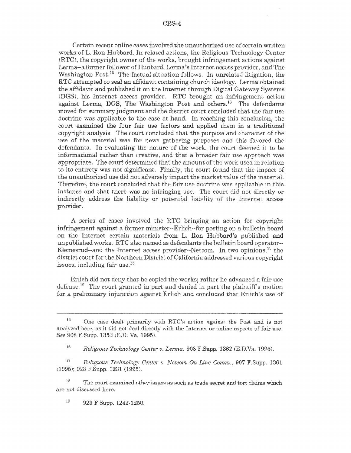CRS-4

Certain recent online cases involved the unauthorized use of certain written works of L. Ron Hubbard. In related actions, the Religious Technology Center  $(RTC)$ , the copyright owner of the works, brought infringement actions against Lerma--a former follower of Hubbard, Lerma's Internet access provider, and The Washington Post.<sup>16</sup> The factual situation follows. In unrelated litigation, the RTC attempted to seal an affidavit containing church ideology. Lerma obtained the affidavit and published it on the Internet through Digital Gateway Systems (DGS), his Internet access provider. RTC brought an infringement action against Lerma, DGS, The Washington Post and others.<sup>15</sup> The defendants moved for summary judgment and the district court concluded that the fair use doctrine was applicable to the case at hand. In reaching this conclusion, the court examined the four fair use factors and applied them in a traditional copyright analysis. The court concluded that the purpose and character of the use of the material was for news gathering purposes and this favored the defendants. In evaluating the nature of the work, the court deemed it to be informational rather than creative, and that a broader fair use approach was appropriate. The court determined that the amount of the work used in relation to its entirety was not significant. Finally, the court found that the impact of the unauthorized use did not adversely impact the market value of the material Therefore, the court concluded that the fair use doctrine was applicable in this instance and that there was no infringing use. The court did not directly or indirectly address the liability or potential liability of the Internet access provider.

**A** series of cases involved the RTC bringing an action for copyright infringement against a former minister--Erlich-for posting on a bulletin board on the Internet certain materials from L. Ron Hubbard's published and unpublished works, RTC also named as defendants the bulletin board operator-Klemesrud--and the Internet access provider--Netcom. In two opinions,  $<sup>17</sup>$  the</sup> district court **for** the Northern District **of** Califbrnia addressed various copyright issues, including fair use. $^{18}$ 

Erich did not deny that he copied the works; rather he advanced a fair use defense.<sup>19</sup> The court granted in part and denied in part the plaintiff's motion for a preliminary injunction against Erlich and concluded that Erlich's use of

<sup>16</sup> *Religious Technology Center v. Lerma, 908 F.Supp. 1362 (E.D.Va. 1995).* 

<sup>17</sup> *Religious Technology Center v. Netcom On-Line Comm., 907 F.Supp. 1361* (1995); 923 F.Supp. 1231 (1995).

<sup>18</sup> The court examined other issues as such as trade secret and tort claims which are not discussed here.

**19 923** F.Supp. 1242-1250.

<sup>&</sup>lt;sup>15</sup> One case dealt primarily with RTC's action against the Post and is not analyzed here, as it did not deal directly with the Internet or online aspects of fair use. *See* **908** F.Supp. **1353 (E.D,** Va, 19954.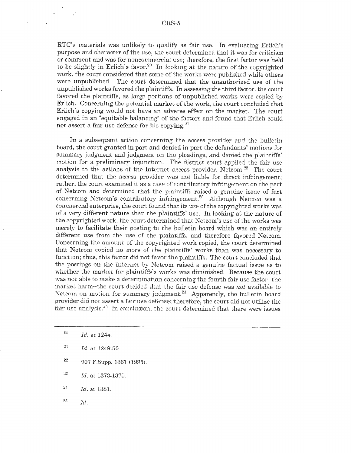RTC's materials was unlikely to qualify as fair use. In evaluating Erlich's purpose and character of the use, the court determined that it was for criticism or comment and was for noncommercial use; therefore, the first factor was held to be slightly in Erlich's favor.<sup>20</sup> In looking at the nature of the copyrighted work, the court considered that some of the works were published while others were unpublished. The court determined that the unauthorized use of the unpublished works favored the plaintiffs. In assessing the third factor. the court favored the plaintiffs, as large portions of unpublished works were copied by Erlich. Concerning the potential market of the work, the court concluded that Erlich's copying would not have an adverse effect on the market. The court engaged in an "equitable balancing" of the factors and found that Erlich could not assert a fair use defense for his copying.<sup>21</sup>

In a subsequent action concerning the access provider and the bulletin board, the court granted in part and denied in part the defendants' motions for summary judgment and judgment on the pleadings, and denied the plaintiffs' motion for a preliminary injunction. The district court applied the fair use<br>applysis to the actions of the Internet access provider. Netcom  $22$ . The court analysis to the actions of the Internet access provider, Netcom.<sup>22</sup> The court determined that the access provider was not liable for direct infringement; rather, the court examined it as a case of contributory infringement on the part of Netcom and determined that the plaintiffs raised a genuine issue of fact concerning Netcom's contributory infringement.<sup>28</sup> Aithough Netcom was a commercial enterprise, the court found that its use of the copyrighted works was of a very different nature than the plaintiffs' use. In looking at the nature of the copyrighted work, the court determined that Netcom's use of the works was merely to facilitate their posting to the bulletin board which was an entirely different use from the use of the plaintiffs. and therefore favored Netcom. Concerning the amount of the copyrighted work copied, the court determined that Netcom copied no more of the plaintiffs' works than was necessary to function; thus, this factor did not favor the plaintiffs. The court concluded that the postings on the Internet by Netcom raised a genuine factual issue as to whether the market for plaintiffs's works was diminished. Because the court was not able to make a determination concerning the fourth fair use factor-the market harm-the court decided that the fair use defense was not available to Neteom on motion for summary judgment.<sup>24</sup> Apparently, the bulletin board provider did not assert a fair use defense; therefore, the court did not utilize the fair use analysis.<sup>25</sup> In conclusion, the court determined that there were issues

- $^{21}$  *Id.* at 1249-50.
- 22 907 FSupp. 1361 **(1995**
- **<sup>29</sup>***Id* **at 1373-1375.**
- <sup>24</sup>**Id.** at **1381.**
- 25 Id.

**<sup>.21</sup>** *Id.* at 1244,